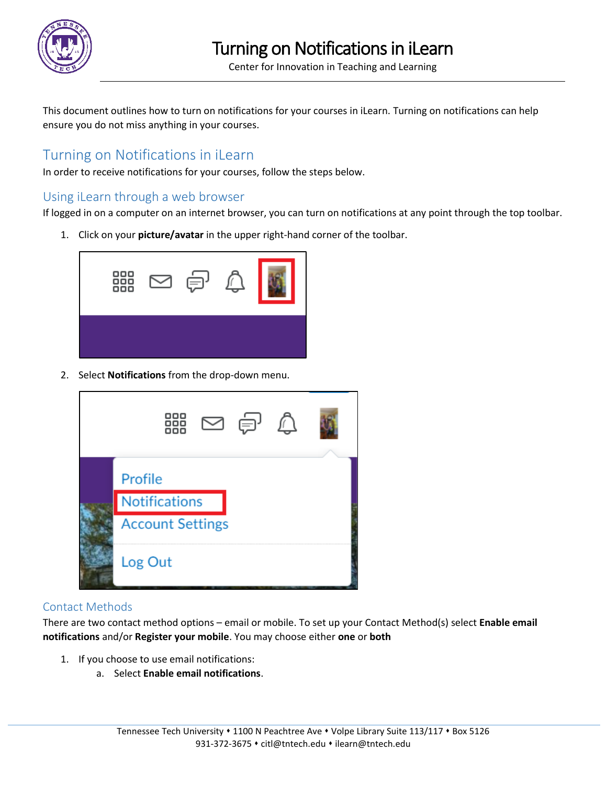

This document outlines how to turn on notifications for your courses in iLearn. Turning on notifications can help ensure you do not miss anything in your courses.

# Turning on Notifications in iLearn

In order to receive notifications for your courses, follow the steps below.

# Using iLearn through a web browser

If logged in on a computer on an internet browser, you can turn on notifications at any point through the top toolbar.

1. Click on your **picture/avatar** in the upper right-hand corner of the toolbar.



2. Select **Notifications** from the drop-down menu.

| 器<br>$\boxtimes$ $\oplus$ $\mathbb{C}$ |  |
|----------------------------------------|--|
| Profile                                |  |
| Notifications                          |  |
| <b>Account Settings</b>                |  |
| Log Out                                |  |

# Contact Methods

There are two contact method options – email or mobile. To set up your Contact Method(s) select **Enable email notifications** and/or **Register your mobile**. You may choose either **one** or **both**

- 1. If you choose to use email notifications:
	- a. Select **Enable email notifications**.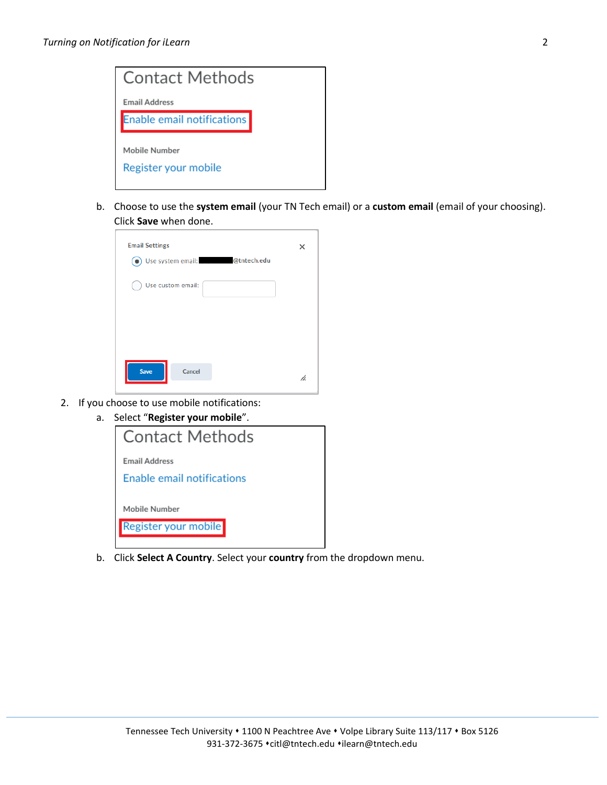

b. Choose to use the **system email** (your TN Tech email) or a **custom email** (email of your choosing). Click **Save** when done.

| <b>Email Settings</b><br>@tntech.edu<br>Use system email: | x  |
|-----------------------------------------------------------|----|
| Use custom email:                                         |    |
|                                                           |    |
|                                                           |    |
| <b>Save</b><br>Cancel                                     | ħ. |

- 2. If you choose to use mobile notifications:
	- a. Select "**Register your mobile**".



b. Click **Select A Country**. Select your **country** from the dropdown menu.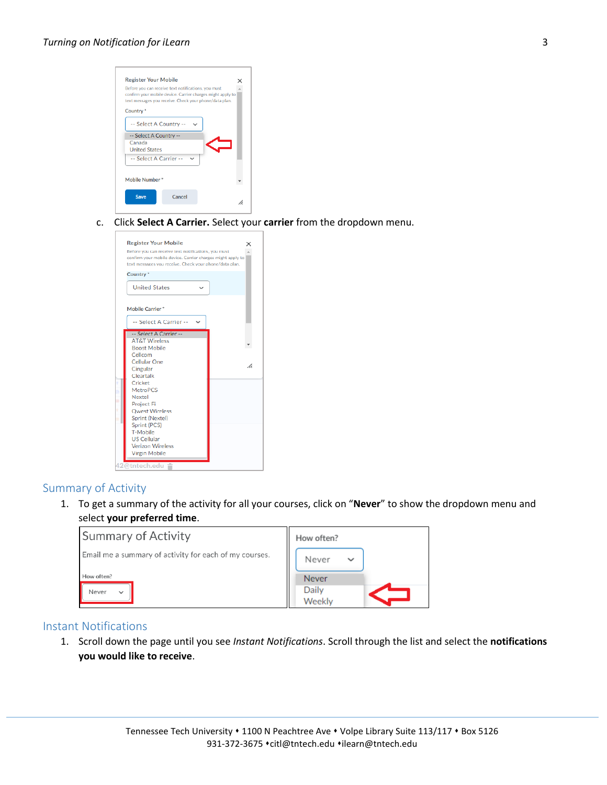

c. Click **Select A Carrier.** Select your **carrier** from the dropdown menu.



## Summary of Activity

1. To get a summary of the activity for all your courses, click on "**Never**" to show the dropdown menu and select **your preferred time**.

| <b>Summary of Activity</b>                                                                    | How often?                                               |
|-----------------------------------------------------------------------------------------------|----------------------------------------------------------|
| Email me a summary of activity for each of my courses.<br>How often?<br>Never<br>$\checkmark$ | Never<br>$\checkmark$<br><b>Never</b><br>Daily<br>Weekly |

#### Instant Notifications

1. Scroll down the page until you see *Instant Notifications*. Scroll through the list and select the **notifications you would like to receive**.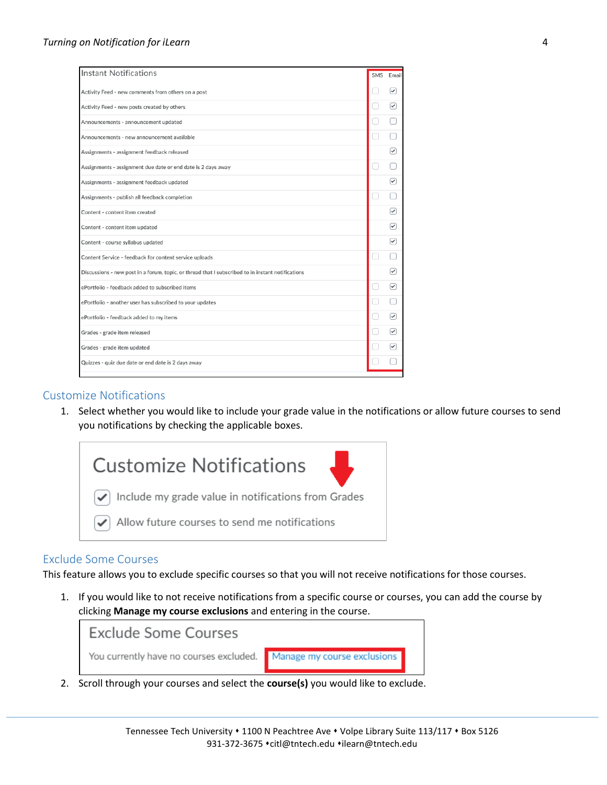| <b>Instant Notifications</b>                                                                      | <b>SMS</b> | Email                   |
|---------------------------------------------------------------------------------------------------|------------|-------------------------|
| Activity Feed - new comments from others on a post                                                |            | ✓                       |
| Activity Feed - new posts created by others                                                       |            | $(\checkmark)$          |
| Announcements - announcement updated                                                              |            |                         |
| Announcements - new announcement available                                                        |            |                         |
| Assignments - assignment feedback released                                                        |            | ▽                       |
| Assignments - assignment due date or end date is 2 days away                                      |            |                         |
| Assignments - assignment feedback updated                                                         |            | ✓                       |
| Assignments - publish all feedback completion                                                     |            |                         |
| Content - content item created                                                                    |            | ☑                       |
| Content - content item updated                                                                    |            | ✓                       |
| Content - course syllabus updated                                                                 |            | $\checkmark$            |
| Content Service - feedback for content service uploads                                            |            |                         |
| Discussions - new post in a forum, topic, or thread that I subscribed to in instant notifications |            | ▽                       |
| ePortfolio - feedback added to subscribed items                                                   |            | $\overline{\checkmark}$ |
| ePortfolio - another user has subscribed to your updates                                          |            |                         |
| ePortfolio - feedback added to my items                                                           |            | $(\checkmark)$          |
| Grades - grade item released                                                                      |            | ☑                       |
| Grades - grade item updated                                                                       |            | ✓                       |
| Quizzes - quiz due date or end date is 2 days away                                                |            |                         |
|                                                                                                   |            |                         |

## Customize Notifications

1. Select whether you would like to include your grade value in the notifications or allow future courses to send you notifications by checking the applicable boxes.



## Exclude Some Courses

This feature allows you to exclude specific courses so that you will not receive notifications for those courses.

1. If you would like to not receive notifications from a specific course or courses, you can add the course by clicking **Manage my course exclusions** and entering in the course.



2. Scroll through your courses and select the **course(s)** you would like to exclude.